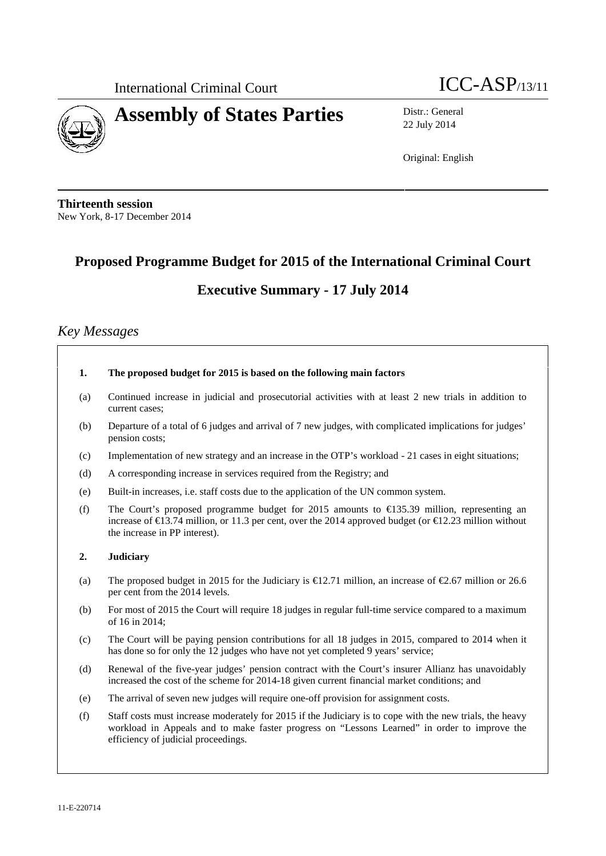



22 July 2014

Original: English

**Thirteenth session** New York, 8-17 December 2014

# **Proposed Programme Budget for 2015 of the International Criminal Court Executive Summary - 17 July 2014**

# *Key Messages*

- **1. The proposed budget for 2015 is based on the following main factors**
- (a) Continued increase in judicial and prosecutorial activities with at least 2 new trials in addition to current cases;
- (b) Departure of a total of 6 judges and arrival of 7 new judges, with complicated implications for judges' pension costs;
- (c) Implementation of new strategy and an increase in the OTP's workload 21 cases in eight situations;
- (d) A corresponding increase in services required from the Registry; and
- (e) Built-in increases, i.e. staff costs due to the application of the UN common system.
- (f) The Court's proposed programme budget for 2015 amounts to  $\epsilon$ 135.39 million, representing an increase of €13.74 million, or 11.3 per cent, over the 2014 approved budget (or €12.23 million without the increase in PP interest).

#### **2. Judiciary**

- (a) The proposed budget in 2015 for the Judiciary is  $\bigoplus$  1.71 million, an increase of  $\bigoplus$  6.67 million or 26.6 per cent from the 2014 levels.
- (b) For most of 2015 the Court will require 18 judges in regular full-time service compared to a maximum of 16 in 2014;
- (c) The Court will be paying pension contributions for all 18 judges in 2015, compared to 2014 when it has done so for only the 12 judges who have not yet completed 9 years' service;
- (d) Renewal of the five-year judges' pension contract with the Court's insurer Allianz has unavoidably increased the cost of the scheme for 2014-18 given current financial market conditions; and
- (e) The arrival of seven new judges will require one-off provision for assignment costs.
- (f) Staff costs must increase moderately for 2015 if the Judiciary is to cope with the new trials, the heavy workload in Appeals and to make faster progress on "Lessons Learned" in order to improve the efficiency of judicial proceedings.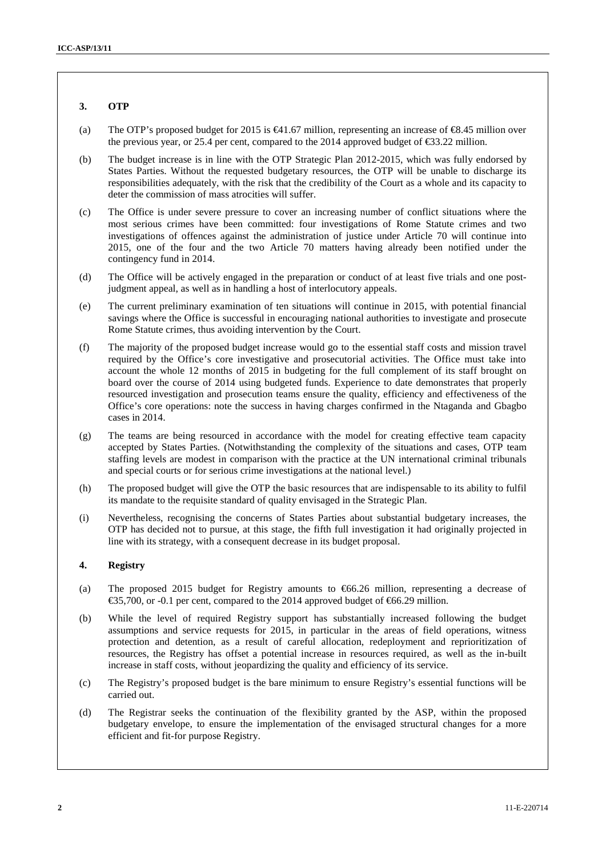#### **3. OTP**

- (a) The OTP's proposed budget for 2015 is  $\in$ 41.67 million, representing an increase of  $\infty$ ,45 million over the previous year, or 25.4 per cent, compared to the 2014 approved budget of  $\text{\textless}3.22$  million.
- (b) The budget increase is in line with the OTP Strategic Plan 2012-2015, which was fully endorsed by States Parties. Without the requested budgetary resources, the OTP will be unable to discharge its responsibilities adequately, with the risk that the credibility of the Court as a whole and its capacity to deter the commission of mass atrocities will suffer.
- (c) The Office is under severe pressure to cover an increasing number of conflict situations where the most serious crimes have been committed: four investigations of Rome Statute crimes and two investigations of offences against the administration of justice under Article 70 will continue into 2015, one of the four and the two Article 70 matters having already been notified under the contingency fund in 2014.
- (d) The Office will be actively engaged in the preparation or conduct of at least five trials and one postjudgment appeal, as well as in handling a host of interlocutory appeals.
- (e) The current preliminary examination of ten situations will continue in 2015, with potential financial savings where the Office is successful in encouraging national authorities to investigate and prosecute Rome Statute crimes, thus avoiding intervention by the Court.
- (f) The majority of the proposed budget increase would go to the essential staff costs and mission travel required by the Office's core investigative and prosecutorial activities. The Office must take into account the whole 12 months of 2015 in budgeting for the full complement of its staff brought on board over the course of 2014 using budgeted funds. Experience to date demonstrates that properly resourced investigation and prosecution teams ensure the quality, efficiency and effectiveness of the Office's core operations: note the success in having charges confirmed in the Ntaganda and Gbagbo cases in 2014.
- (g) The teams are being resourced in accordance with the model for creating effective team capacity accepted by States Parties. (Notwithstanding the complexity of the situations and cases, OTP team staffing levels are modest in comparison with the practice at the UN international criminal tribunals and special courts or for serious crime investigations at the national level.)
- (h) The proposed budget will give the OTP the basic resources that are indispensable to its ability to fulfil its mandate to the requisite standard of quality envisaged in the Strategic Plan.
- (i) Nevertheless, recognising the concerns of States Parties about substantial budgetary increases, the OTP has decided not to pursue, at this stage, the fifth full investigation it had originally projected in line with its strategy, with a consequent decrease in its budget proposal.

#### **4. Registry**

- (a) The proposed 2015 budget for Registry amounts to  $\epsilon$ 66.26 million, representing a decrease of  $\text{\textsterling}5,700$ , or -0.1 per cent, compared to the 2014 approved budget of  $\text{\textsterling}66.29$  million.
- (b) While the level of required Registry support has substantially increased following the budget assumptions and service requests for 2015, in particular in the areas of field operations, witness protection and detention, as a result of careful allocation, redeployment and reprioritization of resources, the Registry has offset a potential increase in resources required, as well as the in-built increase in staff costs, without jeopardizing the quality and efficiency of its service.
- (c) The Registry's proposed budget is the bare minimum to ensure Registry's essential functions will be carried out.
- (d) The Registrar seeks the continuation of the flexibility granted by the ASP, within the proposed budgetary envelope, to ensure the implementation of the envisaged structural changes for a more efficient and fit-for purpose Registry.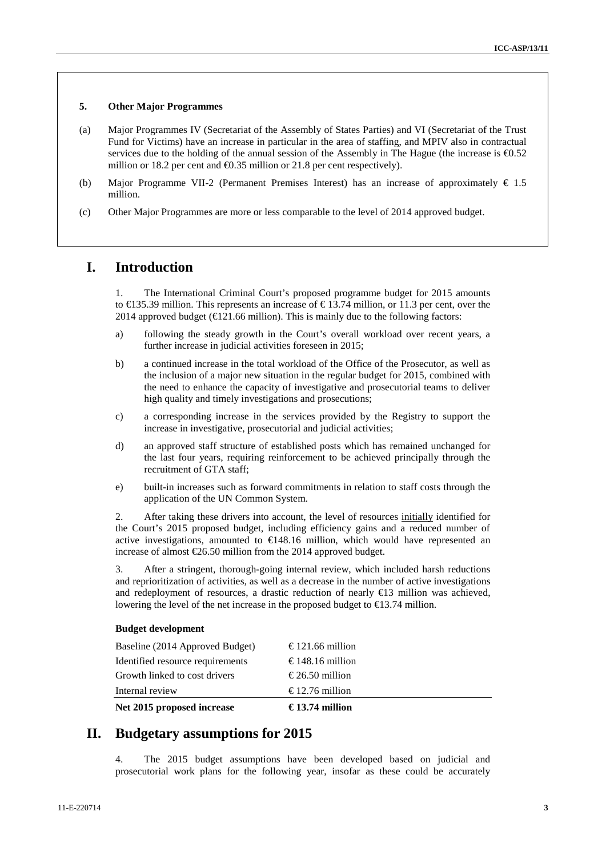#### **5. Other Major Programmes**

- (a) Major Programmes IV (Secretariat of the Assembly of States Parties) and VI (Secretariat of the Trust Fund for Victims) have an increase in particular in the area of staffing, and MPIV also in contractual services due to the holding of the annual session of the Assembly in The Hague (the increase is  $\epsilon$ 0.52 million or 18.2 per cent and  $\bigoplus$ .35 million or 21.8 per cent respectively).
- (b) Major Programme VII-2 (Permanent Premises Interest) has an increase of approximately  $\epsilon$  1.5 million.
- (c) Other Major Programmes are more or less comparable to the level of 2014 approved budget.

# **I. Introduction**

1. The International Criminal Court's proposed programme budget for 2015 amounts to  $\in$ 135.39 million. This represents an increase of  $\in$ 13.74 million, or 11.3 per cent, over the 2014 approved budget ( $\bigoplus$ 21.66 million). This is mainly due to the following factors:

- a) following the steady growth in the Court's overall workload over recent years, a further increase in judicial activities foreseen in 2015;
- b) a continued increase in the total workload of the Office of the Prosecutor, as well as the inclusion of a major new situation in the regular budget for 2015, combined with the need to enhance the capacity of investigative and prosecutorial teams to deliver high quality and timely investigations and prosecutions;
- c) a corresponding increase in the services provided by the Registry to support the increase in investigative, prosecutorial and judicial activities;
- d) an approved staff structure of established posts which has remained unchanged for the last four years, requiring reinforcement to be achieved principally through the recruitment of GTA staff;
- e) built-in increases such as forward commitments in relation to staff costs through the application of the UN Common System.

2. After taking these drivers into account, the level of resources initially identified for the Court's 2015 proposed budget, including efficiency gains and a reduced number of active investigations, amounted to €148.16 million, which would have represented an increase of almost  $E$ 6.50 million from the 2014 approved budget.

3. After a stringent, thorough-going internal review, which included harsh reductions and reprioritization of activities, as well as a decrease in the number of active investigations and redeployment of resources, a drastic reduction of nearly €13 million was achieved, lowering the level of the net increase in the proposed budget to  $\epsilon$ 13.74 million.

#### **Budget development**

| Net 2015 proposed increase       | €13.74 million   |
|----------------------------------|------------------|
| Internal review                  | €12.76 million   |
| Growth linked to cost drivers    | $€26.50$ million |
| Identified resource requirements | €148.16 million  |
| Baseline (2014 Approved Budget)  | €121.66 million  |

# **II. Budgetary assumptions for 2015**

4. The 2015 budget assumptions have been developed based on judicial and prosecutorial work plans for the following year, insofar as these could be accurately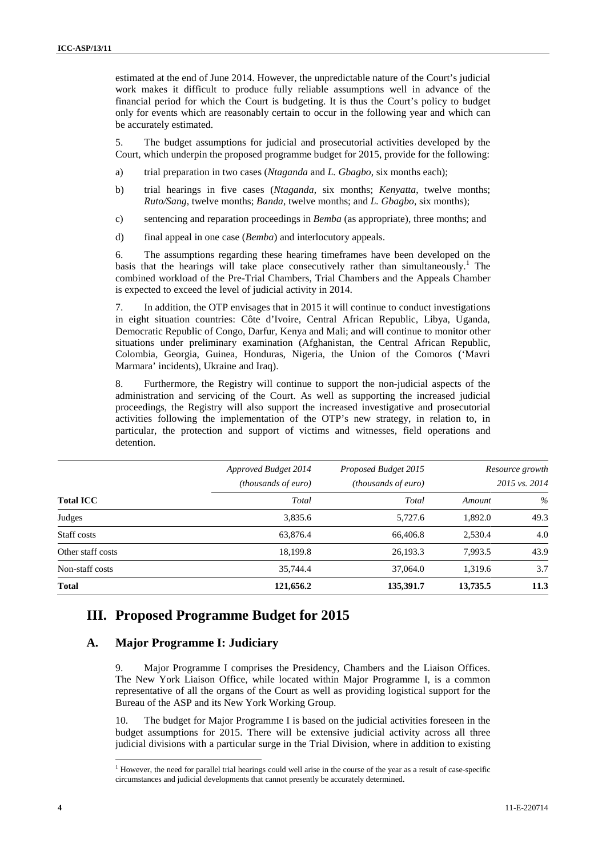estimated at the end of June 2014. However, the unpredictable nature of the Court's judicial work makes it difficult to produce fully reliable assumptions well in advance of the financial period for which the Court is budgeting. It is thus the Court's policy to budget only for events which are reasonably certain to occur in the following year and which can be accurately estimated.

5. The budget assumptions for judicial and prosecutorial activities developed by the Court, which underpin the proposed programme budget for 2015, provide for the following:

- a) trial preparation in two cases (*Ntaganda* and *L. Gbagbo*, six months each);
- b) trial hearings in five cases (*Ntaganda*, six months; *Kenyatta*, twelve months; *Ruto/Sang*, twelve months; *Banda*, twelve months; and *L. Gbagbo*, six months);
- c) sentencing and reparation proceedings in *Bemba* (as appropriate), three months; and
- d) final appeal in one case (*Bemba*) and interlocutory appeals.

6. The assumptions regarding these hearing timeframes have been developed on the basis that the hearings will take place consecutively rather than simultaneously.<sup>1</sup> The combined workload of the Pre-Trial Chambers, Trial Chambers and the Appeals Chamber is expected to exceed the level of judicial activity in 2014.

7. In addition, the OTP envisages that in 2015 it will continue to conduct investigations in eight situation countries: Côte d'Ivoire, Central African Republic, Libya, Uganda, Democratic Republic of Congo, Darfur, Kenya and Mali; and will continue to monitor other situations under preliminary examination (Afghanistan, the Central African Republic, Colombia, Georgia, Guinea, Honduras, Nigeria, the Union of the Comoros ('Mavri Marmara' incidents), Ukraine and Iraq).

8. Furthermore, the Registry will continue to support the non-judicial aspects of the administration and servicing of the Court. As well as supporting the increased judicial proceedings, the Registry will also support the increased investigative and prosecutorial activities following the implementation of the OTP's new strategy, in relation to, in particular, the protection and support of victims and witnesses, field operations and detention.

| <b>Total ICC</b>  | Approved Budget 2014<br><i>(thousands of euro)</i> | Proposed Budget 2015<br><i>(thousands of euro)</i> |          | Resource growth<br>2015 vs. 2014 |
|-------------------|----------------------------------------------------|----------------------------------------------------|----------|----------------------------------|
|                   | Total                                              | Total                                              | Amount   | $\%$                             |
| Judges            | 3,835.6                                            | 5.727.6                                            | 1.892.0  | 49.3                             |
| Staff costs       | 63,876.4                                           | 66,406.8                                           | 2.530.4  | 4.0                              |
| Other staff costs | 18,199.8                                           | 26,193.3                                           | 7.993.5  | 43.9                             |
| Non-staff costs   | 35,744.4                                           | 37,064.0                                           | 1.319.6  | 3.7                              |
| <b>Total</b>      | 121,656.2                                          | 135,391.7                                          | 13,735.5 | 11.3                             |

#### **III. Proposed Programme Budget for 2015**

#### **A. Major Programme I: Judiciary**

9. Major Programme I comprises the Presidency, Chambers and the Liaison Offices. The New York Liaison Office, while located within Major Programme I, is a common representative of all the organs of the Court as well as providing logistical support for the Bureau of the ASP and its New York Working Group.

10. The budget for Major Programme I is based on the judicial activities foreseen in the budget assumptions for 2015. There will be extensive judicial activity across all three judicial divisions with a particular surge in the Trial Division, where in addition to existing

<sup>&</sup>lt;sup>1</sup> However, the need for parallel trial hearings could well arise in the course of the year as a result of case-specific circumstances and judicial developments that cannot presently be accurately determined.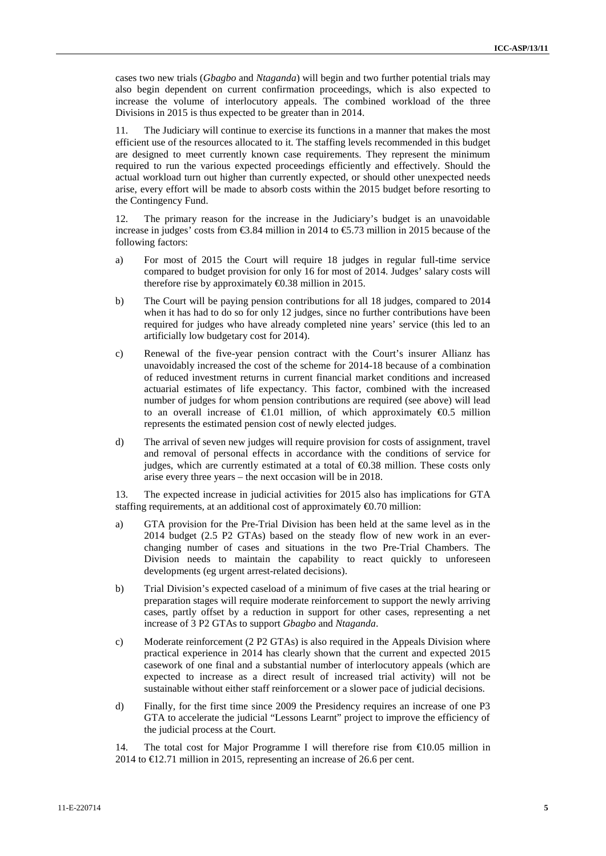cases two new trials (*Gbagbo* and *Ntaganda*) will begin and two further potential trials may also begin dependent on current confirmation proceedings, which is also expected to increase the volume of interlocutory appeals. The combined workload of the three Divisions in 2015 is thus expected to be greater than in 2014.

11. The Judiciary will continue to exercise its functions in a manner that makes the most efficient use of the resources allocated to it. The staffing levels recommended in this budget are designed to meet currently known case requirements. They represent the minimum required to run the various expected proceedings efficiently and effectively. Should the actual workload turn out higher than currently expected, or should other unexpected needs arise, every effort will be made to absorb costs within the 2015 budget before resorting to the Contingency Fund.

12. The primary reason for the increase in the Judiciary's budget is an unavoidable increase in judges' costs from  $\text{\textsterling}3.84$  million in 2014 to  $\text{\textsterling}5.73$  million in 2015 because of the following factors:

- a) For most of 2015 the Court will require 18 judges in regular full-time service compared to budget provision for only 16 for most of 2014. Judges' salary costs will therefore rise by approximately €0.38 million in 2015.
- b) The Court will be paying pension contributions for all 18 judges, compared to 2014 when it has had to do so for only 12 judges, since no further contributions have been required for judges who have already completed nine years' service (this led to an artificially low budgetary cost for 2014).
- c) Renewal of the five-year pension contract with the Court's insurer Allianz has unavoidably increased the cost of the scheme for 2014-18 because of a combination of reduced investment returns in current financial market conditions and increased actuarial estimates of life expectancy. This factor, combined with the increased number of judges for whom pension contributions are required (see above) will lead to an overall increase of  $\epsilon 1.01$  million, of which approximately  $\epsilon 0.5$  million represents the estimated pension cost of newly elected judges.
- d) The arrival of seven new judges will require provision for costs of assignment, travel and removal of personal effects in accordance with the conditions of service for judges, which are currently estimated at a total of €0.38 million. These costs only arise every three years – the next occasion will be in 2018.

13. The expected increase in judicial activities for 2015 also has implications for GTA staffing requirements, at an additional cost of approximately €0.70 million:

- a) GTA provision for the Pre-Trial Division has been held at the same level as in the 2014 budget (2.5 P2 GTAs) based on the steady flow of new work in an ever changing number of cases and situations in the two Pre-Trial Chambers. The Division needs to maintain the capability to react quickly to unforeseen developments (eg urgent arrest-related decisions).
- b) Trial Division's expected caseload of a minimum of five cases at the trial hearing or preparation stages will require moderate reinforcement to support the newly arriving cases, partly offset by a reduction in support for other cases, representing a net increase of 3 P2 GTAs to support *Gbagbo* and *Ntaganda*.
- c) Moderate reinforcement (2 P2 GTAs) is also required in the Appeals Division where practical experience in 2014 has clearly shown that the current and expected 2015 casework of one final and a substantial number of interlocutory appeals (which are expected to increase as a direct result of increased trial activity) will not be sustainable without either staff reinforcement or a slower pace of judicial decisions.
- d) Finally, for the first time since 2009 the Presidency requires an increase of one P3 GTA to accelerate the judicial "Lessons Learnt" project to improve the efficiency of the judicial process at the Court.

14. The total cost for Major Programme I will therefore rise from  $\epsilon 0.05$  million in 2014 to €12.71 million in 2015, representing an increase of 26.6 per cent.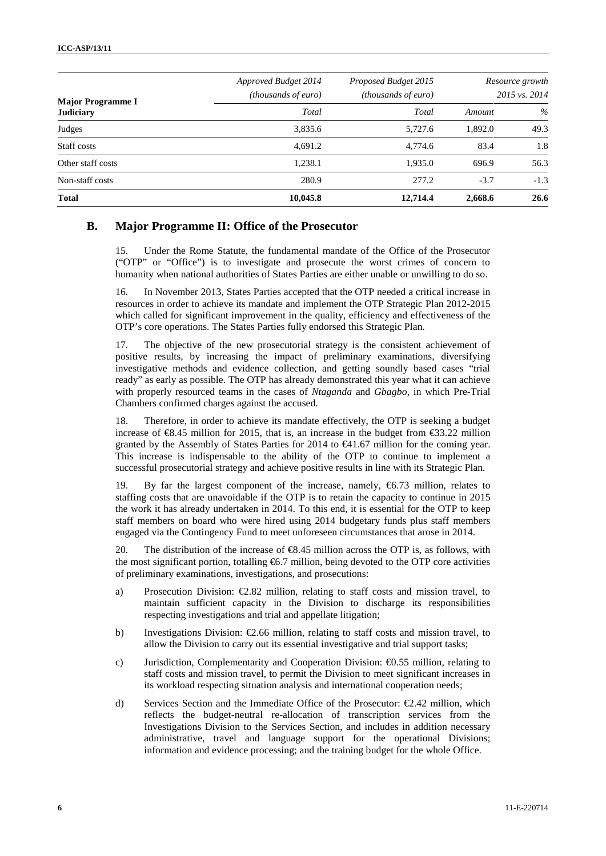| <b>Major Programme I</b><br><b>Judiciary</b> | Approved Budget 2014<br><i>(thousands of euro)</i> | Proposed Budget 2015<br><i>(thousands of euro)</i> |         | Resource growth<br>2015 vs. 2014 |
|----------------------------------------------|----------------------------------------------------|----------------------------------------------------|---------|----------------------------------|
|                                              | Total                                              | Total                                              | Amount  | $\%$                             |
| Judges                                       | 3,835.6                                            | 5,727.6                                            | 1,892.0 | 49.3                             |
| Staff costs                                  | 4.691.2                                            | 4,774.6                                            | 83.4    | 1.8                              |
| Other staff costs                            | 1,238.1                                            | 1,935.0                                            | 696.9   | 56.3                             |
| Non-staff costs                              | 280.9                                              | 277.2                                              | $-3.7$  | $-1.3$                           |
| <b>Total</b>                                 | 10,045.8                                           | 12,714.4                                           | 2,668.6 | 26.6                             |

#### **B. Major Programme II: Office of the Prosecutor**

15. Under the Rome Statute, the fundamental mandate of the Office of the Prosecutor ("OTP" or "Office") is to investigate and prosecute the worst crimes of concern to humanity when national authorities of States Parties are either unable or unwilling to do so.

16. In November 2013, States Parties accepted that the OTP needed a critical increase in resources in order to achieve its mandate and implement the OTP Strategic Plan 2012-2015 which called for significant improvement in the quality, efficiency and effectiveness of the OTP's core operations. The States Parties fully endorsed this Strategic Plan.

17. The objective of the new prosecutorial strategy is the consistent achievement of positive results, by increasing the impact of preliminary examinations, diversifying investigative methods and evidence collection, and getting soundly based cases "trial ready" as early as possible. The OTP has already demonstrated this year what it can achieve with properly resourced teams in the cases of *Ntaganda* and *Gbagbo*, in which Pre-Trial Chambers confirmed charges against the accused.

18. Therefore, in order to achieve its mandate effectively, the OTP is seeking a budget increase of  $\mathfrak{B}$ .45 million for 2015, that is, an increase in the budget from  $\mathfrak{S}3.22$  million granted by the Assembly of States Parties for 2014 to  $\bigoplus$  1.67 million for the coming year. This increase is indispensable to the ability of the OTP to continue to implement a successful prosecutorial strategy and achieve positive results in line with its Strategic Plan.

19. By far the largest component of the increase, namely, €6.73 million, relates to staffing costs that are unavoidable if the OTP is to retain the capacity to continue in 2015 the work it has already undertaken in 2014. To this end, it is essential for the OTP to keep staff members on board who were hired using 2014 budgetary funds plus staff members engaged via the Contingency Fund to meet unforeseen circumstances that arose in 2014.

20. The distribution of the increase of  $\epsilon$ 8.45 million across the OTP is, as follows, with the most significant portion, totalling  $66.7$  million, being devoted to the OTP core activities of preliminary examinations, investigations, and prosecutions:

- a) Prosecution Division: €2.82 million, relating to staff costs and mission travel, to maintain sufficient capacity in the Division to discharge its responsibilities respecting investigations and trial and appellate litigation;
- b) Investigations Division:  $\epsilon$ 2.66 million, relating to staff costs and mission travel, to allow the Division to carry out its essential investigative and trial support tasks;
- c) Jurisdiction, Complementarity and Cooperation Division: €0.55 million, relating to staff costs and mission travel, to permit the Division to meet significant increases in its workload respecting situation analysis and international cooperation needs;
- d) Services Section and the Immediate Office of the Prosecutor: €2.42 million, which reflects the budget-neutral re-allocation of transcription services from the Investigations Division to the Services Section, and includes in addition necessary administrative, travel and language support for the operational Divisions; information and evidence processing; and the training budget for the whole Office.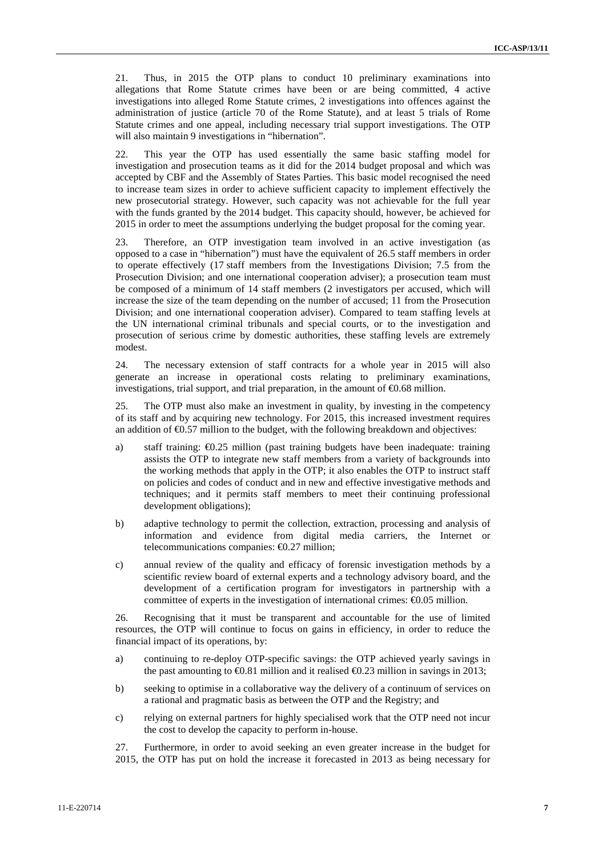21. Thus, in 2015 the OTP plans to conduct 10 preliminary examinations into allegations that Rome Statute crimes have been or are being committed, 4 active investigations into alleged Rome Statute crimes, 2 investigations into offences against the administration of justice (article 70 of the Rome Statute), and at least 5 trials of Rome Statute crimes and one appeal, including necessary trial support investigations. The OTP will also maintain 9 investigations in "hibernation".

22. This year the OTP has used essentially the same basic staffing model for investigation and prosecution teams as it did for the 2014 budget proposal and which was accepted by CBF and the Assembly of States Parties. This basic model recognised the need to increase team sizes in order to achieve sufficient capacity to implement effectively the new prosecutorial strategy. However, such capacity was not achievable for the full year with the funds granted by the 2014 budget. This capacity should, however, be achieved for 2015 in order to meet the assumptions underlying the budget proposal for the coming year.

23. Therefore, an OTP investigation team involved in an active investigation (as opposed to a case in "hibernation") must have the equivalent of 26.5 staff members in order to operate effectively (17 staff members from the Investigations Division; 7.5 from the Prosecution Division; and one international cooperation adviser); a prosecution team must be composed of a minimum of 14 staff members (2 investigators per accused, which will increase the size of the team depending on the number of accused; 11 from the Prosecution Division; and one international cooperation adviser). Compared to team staffing levels at the UN international criminal tribunals and special courts, or to the investigation and prosecution of serious crime by domestic authorities, these staffing levels are extremely modest.

24. The necessary extension of staff contracts for a whole year in 2015 will also generate an increase in operational costs relating to preliminary examinations, investigations, trial support, and trial preparation, in the amount of  $\epsilon$ 0.68 million.

25. The OTP must also make an investment in quality, by investing in the competency of its staff and by acquiring new technology. For 2015, this increased investment requires an addition of  $\Theta$ .57 million to the budget, with the following breakdown and objectives:

- a) staff training: €0.25 million (past training budgets have been inadequate: training assists the OTP to integrate new staff members from a variety of backgrounds into the working methods that apply in the OTP; it also enables the OTP to instruct staff on policies and codes of conduct and in new and effective investigative methods and techniques; and it permits staff members to meet their continuing professional development obligations);
- b) adaptive technology to permit the collection, extraction, processing and analysis of information and evidence from digital media carriers, the Internet or telecommunications companies: €0.27 million;
- c) annual review of the quality and efficacy of forensic investigation methods by a scientific review board of external experts and a technology advisory board, and the development of a certification program for investigators in partnership with a committee of experts in the investigation of international crimes:  $\epsilon 0.05$  million.

26. Recognising that it must be transparent and accountable for the use of limited resources, the OTP will continue to focus on gains in efficiency, in order to reduce the financial impact of its operations, by:

- a) continuing to re-deploy OTP-specific savings: the OTP achieved yearly savings in the past amounting to  $\epsilon 0.81$  million and it realised  $\epsilon 0.23$  million in savings in 2013;
- b) seeking to optimise in a collaborative way the delivery of a continuum of services on a rational and pragmatic basis as between the OTP and the Registry; and
- c) relying on external partners for highly specialised work that the OTP need not incur the cost to develop the capacity to perform in-house.

27. Furthermore, in order to avoid seeking an even greater increase in the budget for 2015, the OTP has put on hold the increase it forecasted in 2013 as being necessary for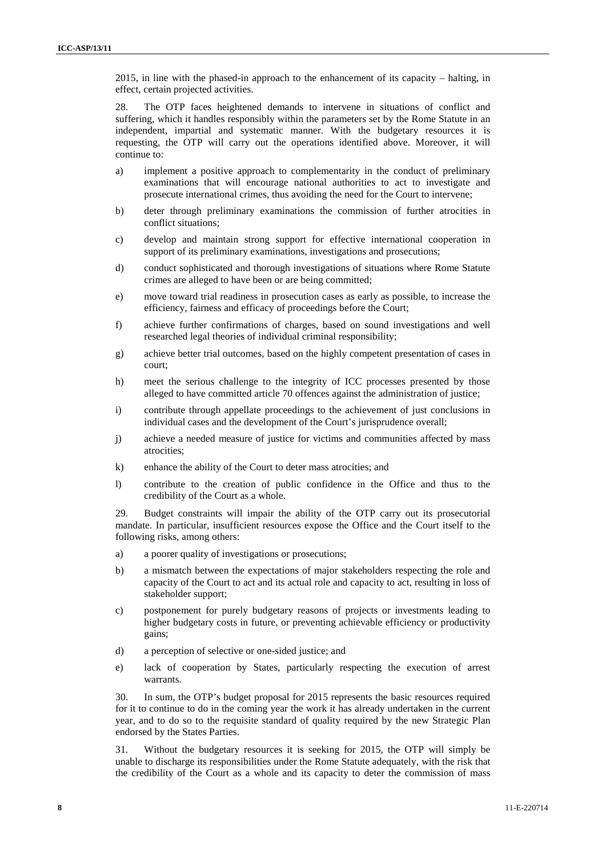2015, in line with the phased-in approach to the enhancement of its capacity – halting, in effect, certain projected activities.

28. The OTP faces heightened demands to intervene in situations of conflict and suffering, which it handles responsibly within the parameters set by the Rome Statute in an independent, impartial and systematic manner. With the budgetary resources it is requesting, the OTP will carry out the operations identified above. Moreover, it will continue to:

- a) implement a positive approach to complementarity in the conduct of preliminary examinations that will encourage national authorities to act to investigate and prosecute international crimes, thus avoiding the need for the Court to intervene;
- b) deter through preliminary examinations the commission of further atrocities in conflict situations;
- c) develop and maintain strong support for effective international cooperation in support of its preliminary examinations, investigations and prosecutions;
- d) conduct sophisticated and thorough investigations of situations where Rome Statute crimes are alleged to have been or are being committed;
- e) move toward trial readiness in prosecution cases as early as possible, to increase the efficiency, fairness and efficacy of proceedings before the Court;
- f) achieve further confirmations of charges, based on sound investigations and well researched legal theories of individual criminal responsibility;
- g) achieve better trial outcomes, based on the highly competent presentation of cases in court;
- h) meet the serious challenge to the integrity of ICC processes presented by those alleged to have committed article 70 offences against the administration of justice;
- i) contribute through appellate proceedings to the achievement of just conclusions in individual cases and the development of the Court's jurisprudence overall;
- j) achieve a needed measure of justice for victims and communities affected by mass atrocities;
- k) enhance the ability of the Court to deter mass atrocities; and
- l) contribute to the creation of public confidence in the Office and thus to the credibility of the Court as a whole.

29. Budget constraints will impair the ability of the OTP carry out its prosecutorial mandate. In particular, insufficient resources expose the Office and the Court itself to the following risks, among others:

- a) a poorer quality of investigations or prosecutions;
- b) a mismatch between the expectations of major stakeholders respecting the role and capacity of the Court to act and its actual role and capacity to act, resulting in loss of stakeholder support;
- c) postponement for purely budgetary reasons of projects or investments leading to higher budgetary costs in future, or preventing achievable efficiency or productivity gains;
- d) a perception of selective or one-sided justice; and
- e) lack of cooperation by States, particularly respecting the execution of arrest warrants.

30. In sum, the OTP's budget proposal for 2015 represents the basic resources required for it to continue to do in the coming year the work it has already undertaken in the current year, and to do so to the requisite standard of quality required by the new Strategic Plan endorsed by the States Parties.

31. Without the budgetary resources it is seeking for 2015, the OTP will simply be unable to discharge its responsibilities under the Rome Statute adequately, with the risk that the credibility of the Court as a whole and its capacity to deter the commission of mass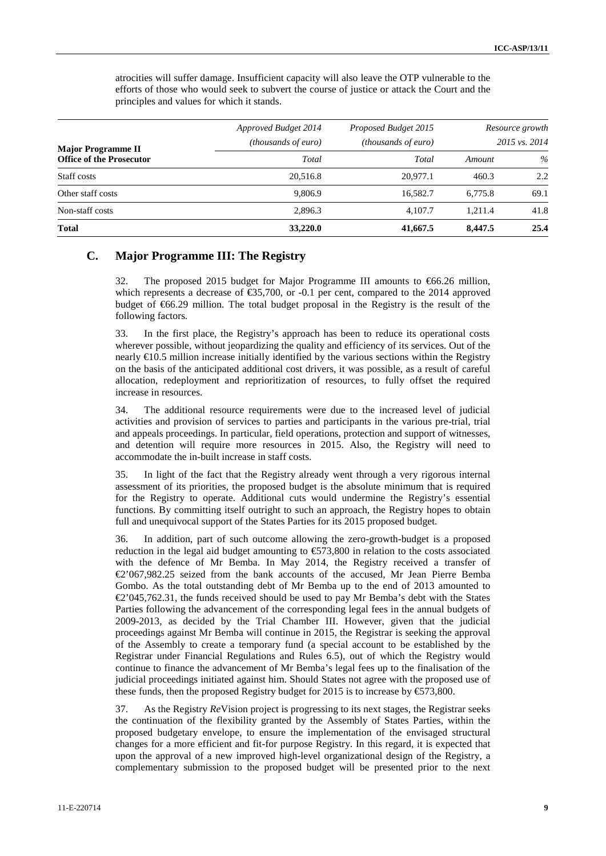| <b>Major Programme II</b>       | Approved Budget 2014<br><i>(thousands of euro)</i> | Proposed Budget 2015<br><i>(thousands of euro)</i> |         | Resource growth<br>2015 vs. 2014 |
|---------------------------------|----------------------------------------------------|----------------------------------------------------|---------|----------------------------------|
| <b>Office of the Prosecutor</b> | Total                                              | Total                                              | Amount  | $\%$                             |
| Staff costs                     | 20,516.8                                           | 20.977.1                                           | 460.3   | 2.2                              |
| Other staff costs               | 9,806.9                                            | 16.582.7                                           | 6.775.8 | 69.1                             |
| Non-staff costs                 | 2,896.3                                            | 4.107.7                                            | 1.211.4 | 41.8                             |
| <b>Total</b>                    | 33,220.0                                           | 41,667.5                                           | 8,447.5 | 25.4                             |

atrocities will suffer damage. Insufficient capacity will also leave the OTP vulnerable to the efforts of those who would seek to subvert the course of justice or attack the Court and the principles and values for which it stands.

## **C. Major Programme III: The Registry**

32. The proposed 2015 budget for Major Programme III amounts to €66.26 million, which represents a decrease of  $\text{\textsterling}35,700$ , or -0.1 per cent, compared to the 2014 approved budget of  $66.29$  million. The total budget proposal in the Registry is the result of the following factors.

33. In the first place, the Registry's approach has been to reduce its operational costs wherever possible, without jeopardizing the quality and efficiency of its services. Out of the nearly  $E$ 10.5 million increase initially identified by the various sections within the Registry on the basis of the anticipated additional cost drivers, it was possible, as a result of careful allocation, redeployment and reprioritization of resources, to fully offset the required increase in resources.

34. The additional resource requirements were due to the increased level of judicial activities and provision of services to parties and participants in the various pre-trial, trial and appeals proceedings. In particular, field operations, protection and support of witnesses, and detention will require more resources in 2015. Also, the Registry will need to accommodate the in-built increase in staff costs.

35. In light of the fact that the Registry already went through a very rigorous internal assessment of its priorities, the proposed budget is the absolute minimum that is required for the Registry to operate. Additional cuts would undermine the Registry's essential functions. By committing itself outright to such an approach, the Registry hopes to obtain full and unequivocal support of the States Parties for its 2015 proposed budget.

36. In addition, part of such outcome allowing the zero-growth-budget is a proposed reduction in the legal aid budget amounting to  $\epsilon$ 573,800 in relation to the costs associated with the defence of Mr Bemba. In May 2014, the Registry received a transfer of €2'067,982.25 seized from the bank accounts of the accused, Mr Jean Pierre Bemba Gombo. As the total outstanding debt of Mr Bemba up to the end of 2013 amounted to  $\mathcal{L}$ '045,762.31, the funds received should be used to pay Mr Bemba's debt with the States Parties following the advancement of the corresponding legal fees in the annual budgets of 2009-2013, as decided by the Trial Chamber III. However, given that the judicial proceedings against Mr Bemba will continue in 2015, the Registrar is seeking the approval of the Assembly to create a temporary fund (a special account to be established by the Registrar under Financial Regulations and Rules 6.5), out of which the Registry would continue to finance the advancement of Mr Bemba's legal fees up to the finalisation of the judicial proceedings initiated against him. Should States not agree with the proposed use of these funds, then the proposed Registry budget for 2015 is to increase by  $\epsilon$ 573,800.

37. As the Registry *Re*Vision project is progressing to its next stages, the Registrar seeks the continuation of the flexibility granted by the Assembly of States Parties, within the proposed budgetary envelope, to ensure the implementation of the envisaged structural changes for a more efficient and fit-for purpose Registry. In this regard, it is expected that upon the approval of a new improved high-level organizational design of the Registry, a complementary submission to the proposed budget will be presented prior to the next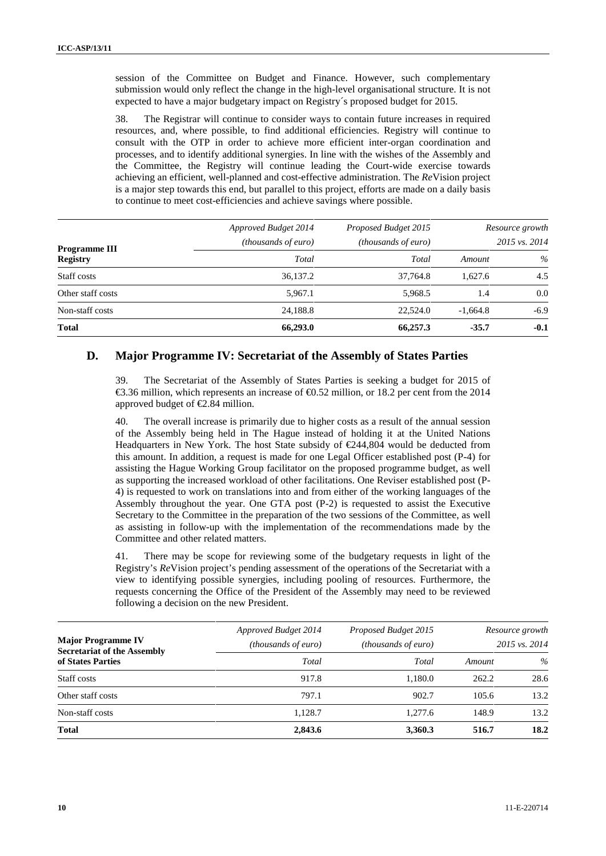session of the Committee on Budget and Finance. However, such complementary submission would only reflect the change in the high-level organisational structure. It is not expected to have a major budgetary impact on Registry´s proposed budget for 2015.

38. The Registrar will continue to consider ways to contain future increases in required resources, and, where possible, to find additional efficiencies. Registry will continue to consult with the OTP in order to achieve more efficient inter-organ coordination and processes, and to identify additional synergies. In line with the wishes of the Assembly and the Committee, the Registry will continue leading the Court-wide exercise towards achieving an efficient, well-planned and cost-effective administration. The *Re*Vision project is a major step towards this end, but parallel to this project, efforts are made on a daily basis to continue to meet cost-efficiencies and achieve savings where possible.

| <b>Programme III</b><br><b>Registry</b> | Approved Budget 2014<br><i>(thousands of euro)</i> | Proposed Budget 2015<br><i>(thousands of euro)</i> |            | Resource growth<br>2015 vs. 2014 |
|-----------------------------------------|----------------------------------------------------|----------------------------------------------------|------------|----------------------------------|
|                                         | Total                                              | Total                                              | Amount     | $\%$                             |
| Staff costs                             | 36,137.2                                           | 37.764.8                                           | 1.627.6    | 4.5                              |
| Other staff costs                       | 5.967.1                                            | 5.968.5                                            | 1.4        | 0.0                              |
| Non-staff costs                         | 24,188.8                                           | 22,524.0                                           | $-1.664.8$ | $-6.9$                           |
| <b>Total</b>                            | 66,293.0                                           | 66,257.3                                           | $-35.7$    | $-0.1$                           |

#### **D. Major Programme IV: Secretariat of the Assembly of States Parties**

39. The Secretariat of the Assembly of States Parties is seeking a budget for 2015 of €3.36 million, which represents an increase of  $\text{€0.52}$  million, or 18.2 per cent from the 2014 approved budget of €2.84 million.

40. The overall increase is primarily due to higher costs as a result of the annual session of the Assembly being held in The Hague instead of holding it at the United Nations Headquarters in New York. The host State subsidy of  $\in \mathbb{Z}44,804$  would be deducted from this amount. In addition, a request is made for one Legal Officer established post (P-4) for assisting the Hague Working Group facilitator on the proposed programme budget, as well as supporting the increased workload of other facilitations. One Reviser established post (P- 4) is requested to work on translations into and from either of the working languages of the Assembly throughout the year. One GTA post (P-2) is requested to assist the Executive Secretary to the Committee in the preparation of the two sessions of the Committee, as well as assisting in follow-up with the implementation of the recommendations made by the Committee and other related matters.

41. There may be scope for reviewing some of the budgetary requests in light of the Registry's *Re*Vision project's pending assessment of the operations of the Secretariat with a view to identifying possible synergies, including pooling of resources. Furthermore, the requests concerning the Office of the President of the Assembly may need to be reviewed following a decision on the new President.

| <b>Major Programme IV</b><br><b>Secretariat of the Assembly</b> | Approved Budget 2014<br><i>(thousands of euro)</i> | Proposed Budget 2015<br><i>(thousands of euro)</i> |        | Resource growth<br>2015 vs. 2014 |
|-----------------------------------------------------------------|----------------------------------------------------|----------------------------------------------------|--------|----------------------------------|
| of States Parties                                               | Total                                              | Total                                              | Amount | $\%$                             |
| Staff costs                                                     | 917.8                                              | 1.180.0                                            | 262.2  | 28.6                             |
| Other staff costs                                               | 797.1                                              | 902.7                                              | 105.6  | 13.2                             |
| Non-staff costs                                                 | 1.128.7                                            | 1.277.6                                            | 148.9  | 13.2                             |
| <b>Total</b>                                                    | 2,843.6                                            | 3,360.3                                            | 516.7  | 18.2                             |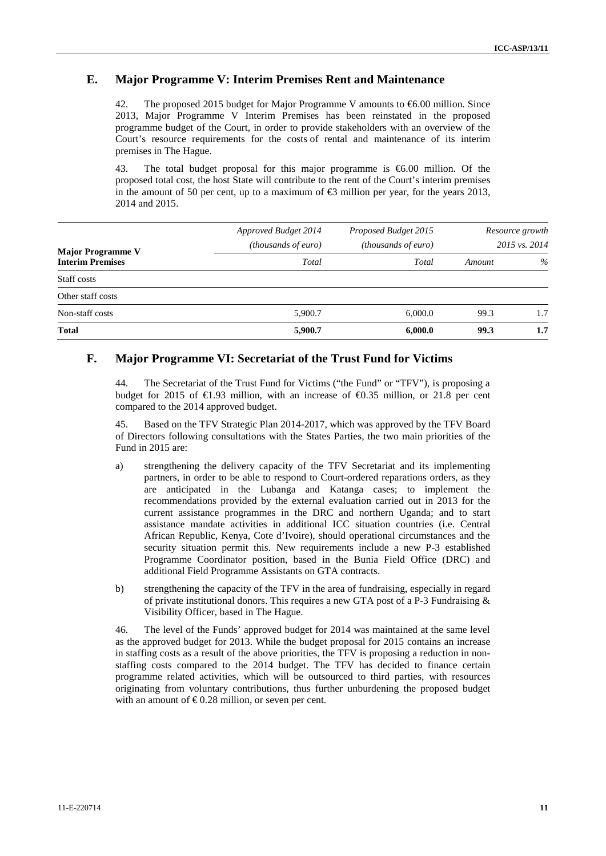### **E. Major Programme V: Interim Premises Rent and Maintenance**

42. The proposed 2015 budget for Major Programme V amounts to €6.00 million. Since 2013, Major Programme V Interim Premises has been reinstated in the proposed programme budget of the Court, in order to provide stakeholders with an overview of the Court's resource requirements for the costs of rental and maintenance of its interim premises in The Hague.

43. The total budget proposal for this major programme is €6.00 million. Of the proposed total cost, the host State will contribute to the rent of the Court's interim premises in the amount of 50 per cent, up to a maximum of  $\bigoplus$  million per year, for the years 2013, 2014 and 2015.

| <b>Major Programme V</b><br><b>Interim Premises</b> | Approved Budget 2014<br>(thousands of euro) | Proposed Budget 2015<br>(thousands of euro) |        | Resource growth<br>2015 vs. 2014 |
|-----------------------------------------------------|---------------------------------------------|---------------------------------------------|--------|----------------------------------|
|                                                     | Total                                       | Total                                       | Amount | $\%$                             |
| Staff costs                                         |                                             |                                             |        |                                  |
| Other staff costs                                   |                                             |                                             |        |                                  |
| Non-staff costs                                     | 5,900.7                                     | 6,000.0                                     | 99.3   | 1.7                              |
| <b>Total</b>                                        | 5,900.7                                     | 6,000.0                                     | 99.3   | 1.7                              |

## **F. Major Programme VI: Secretariat of the Trust Fund for Victims**

44. The Secretariat of the Trust Fund for Victims ("the Fund" or "TFV"), is proposing a budget for 2015 of  $\in$ 1.93 million, with an increase of  $\in$ 0.35 million, or 21.8 per cent compared to the 2014 approved budget.

45. Based on the TFV Strategic Plan 2014-2017, which was approved by the TFV Board of Directors following consultations with the States Parties, the two main priorities of the Fund in 2015 are:

- a) strengthening the delivery capacity of the TFV Secretariat and its implementing partners, in order to be able to respond to Court-ordered reparations orders, as they are anticipated in the Lubanga and Katanga cases; to implement the recommendations provided by the external evaluation carried out in 2013 for the current assistance programmes in the DRC and northern Uganda; and to start assistance mandate activities in additional ICC situation countries (i.e. Central African Republic, Kenya, Cote d'Ivoire), should operational circumstances and the security situation permit this. New requirements include a new P-3 established Programme Coordinator position, based in the Bunia Field Office (DRC) and additional Field Programme Assistants on GTA contracts.
- b) strengthening the capacity of the TFV in the area of fundraising, especially in regard of private institutional donors. This requires a new GTA post of a P-3 Fundraising & Visibility Officer, based in The Hague.

46. The level of the Funds' approved budget for 2014 was maintained at the same level as the approved budget for 2013. While the budget proposal for 2015 contains an increase in staffing costs as a result of the above priorities, the TFV is proposing a reduction in non staffing costs compared to the 2014 budget. The TFV has decided to finance certain programme related activities, which will be outsourced to third parties, with resources originating from voluntary contributions, thus further unburdening the proposed budget with an amount of  $\text{\textsterling}0.28$  million, or seven per cent.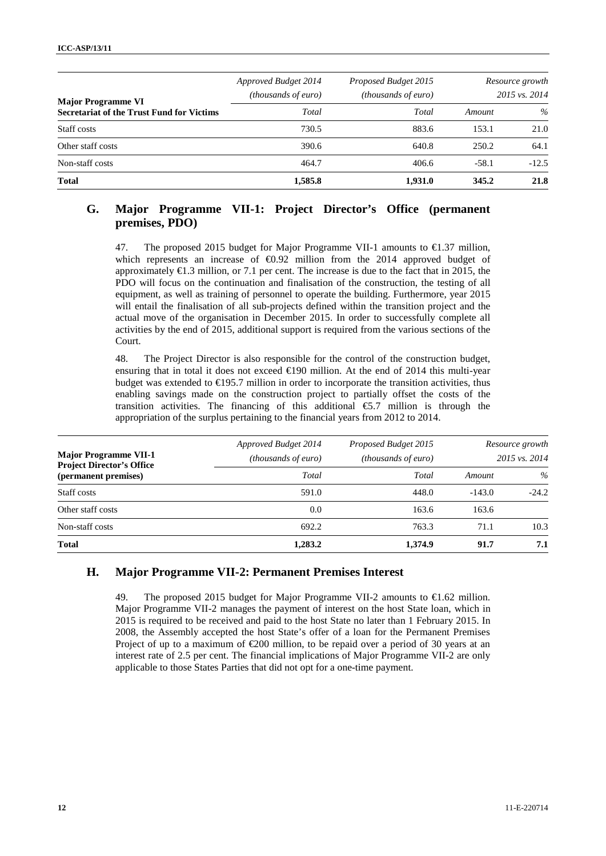| <b>Major Programme VI</b><br><b>Secretariat of the Trust Fund for Victims</b> | Approved Budget 2014<br><i>(thousands of euro)</i> | Proposed Budget 2015<br><i>(thousands of euro)</i> |         | Resource growth<br>2015 vs. 2014 |
|-------------------------------------------------------------------------------|----------------------------------------------------|----------------------------------------------------|---------|----------------------------------|
|                                                                               | Total                                              | Total                                              | Amount  | $\%$                             |
| Staff costs                                                                   | 730.5                                              | 883.6                                              | 153.1   | 21.0                             |
| Other staff costs                                                             | 390.6                                              | 640.8                                              | 250.2   | 64.1                             |
| Non-staff costs                                                               | 464.7                                              | 406.6                                              | $-58.1$ | $-12.5$                          |
| <b>Total</b>                                                                  | 1,585.8                                            | 1,931.0                                            | 345.2   | 21.8                             |

## **G. Major Programme VII-1: Project Director's Office (permanent premises, PDO)**

47. The proposed 2015 budget for Major Programme VII-1 amounts to  $\bigoplus$  .37 million, which represents an increase of  $\Theta$ 0.92 million from the 2014 approved budget of approximately €1.3 million, or 7.1 per cent. The increase is due to the fact that in 2015, the PDO will focus on the continuation and finalisation of the construction, the testing of all equipment, as well as training of personnel to operate the building. Furthermore, year 2015 will entail the finalisation of all sub-projects defined within the transition project and the actual move of the organisation in December 2015. In order to successfully complete all activities by the end of 2015, additional support is required from the various sections of the Court.

48. The Project Director is also responsible for the control of the construction budget, ensuring that in total it does not exceed  $\in$ 190 million. At the end of 2014 this multi-year budget was extended to €195.7 million in order to incorporate the transition activities, thus enabling savings made on the construction project to partially offset the costs of the transition activities. The financing of this additional  $\epsilon$ 5.7 million is through the appropriation of the surplus pertaining to the financial years from 2012 to 2014.

| <b>Major Programme VII-1</b><br><b>Project Director's Office</b><br>(permanent premises) | Approved Budget 2014<br><i>(thousands of euro)</i> | Proposed Budget 2015<br><i>(thousands of euro)</i> |          | Resource growth<br>2015 vs. 2014 |
|------------------------------------------------------------------------------------------|----------------------------------------------------|----------------------------------------------------|----------|----------------------------------|
|                                                                                          | Total                                              | Total                                              | Amount   | $\%$                             |
| Staff costs                                                                              | 591.0                                              | 448.0                                              | $-143.0$ | $-24.2$                          |
| Other staff costs                                                                        | 0.0                                                | 163.6                                              | 163.6    |                                  |
| Non-staff costs                                                                          | 692.2                                              | 763.3                                              | 71.1     | 10.3                             |
| <b>Total</b>                                                                             | 1,283.2                                            | 1,374.9                                            | 91.7     | 7.1                              |

#### **H. Major Programme VII-2: Permanent Premises Interest**

49. The proposed 2015 budget for Major Programme VII-2 amounts to  $\epsilon$ 1.62 million. Major Programme VII-2 manages the payment of interest on the host State loan, which in 2015 is required to be received and paid to the host State no later than 1 February 2015. In 2008, the Assembly accepted the host State's offer of a loan for the Permanent Premises Project of up to a maximum of €200 million, to be repaid over a period of 30 years at an interest rate of 2.5 per cent. The financial implications of Major Programme VII-2 are only applicable to those States Parties that did not opt for a one-time payment.